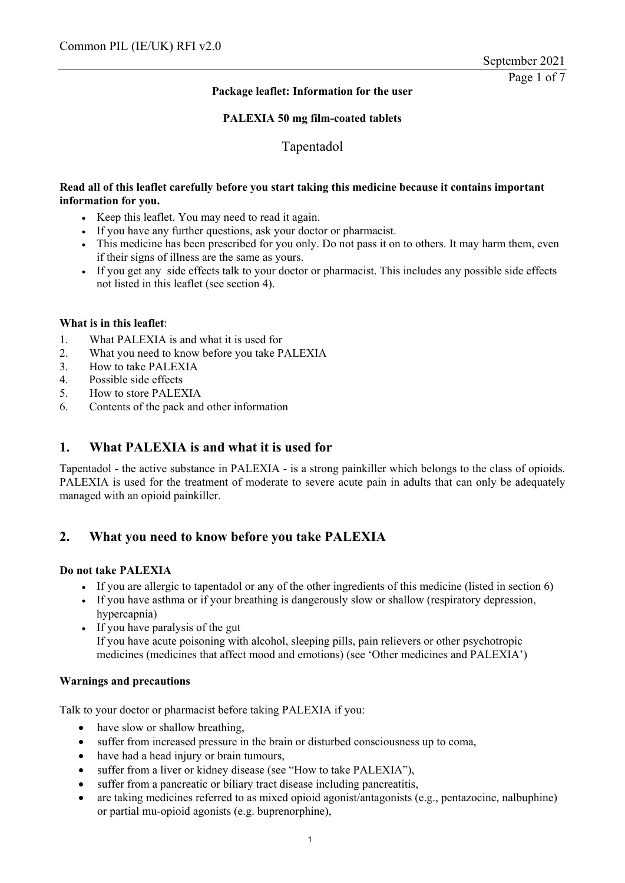## **Package leaflet: Information for the user**

## **PALEXIA 50 mg film-coated tablets**

Tapentadol

## **Read all of this leaflet carefully before you start taking this medicine because it contains important information for you.**

- Keep this leaflet. You may need to read it again.
- If you have any further questions, ask your doctor or pharmacist.
- This medicine has been prescribed for you only. Do not pass it on to others. It may harm them, even if their signs of illness are the same as yours.
- If you get any side effects talk to your doctor or pharmacist. This includes any possible side effects not listed in this leaflet (see section 4).

## **What is in this leaflet**:

- 1. What PALEXIA is and what it is used for
- 2. What you need to know before you take PALEXIA
- 3. How to take PALEXIA
- 4. Possible side effects
- 5. How to store PALEXIA
- 6. Contents of the pack and other information

# **1. What PALEXIA is and what it is used for**

Tapentadol - the active substance in PALEXIA - is a strong painkiller which belongs to the class of opioids. PALEXIA is used for the treatment of moderate to severe acute pain in adults that can only be adequately managed with an opioid painkiller.

# **2. What you need to know before you take PALEXIA**

## **Do not take PALEXIA**

- If you are allergic to tapentadol or any of the other ingredients of this medicine (listed in section 6)
- If you have asthma or if your breathing is dangerously slow or shallow (respiratory depression, hypercapnia)
- If you have paralysis of the gut If you have acute poisoning with alcohol, sleeping pills, pain relievers or other psychotropic medicines (medicines that affect mood and emotions) (see 'Other medicines and PALEXIA')

## **Warnings and precautions**

Talk to your doctor or pharmacist before taking PALEXIA if you:

- have slow or shallow breathing,
- suffer from increased pressure in the brain or disturbed consciousness up to coma,
- have had a head injury or brain tumours,
- suffer from a liver or kidney disease (see "How to take PALEXIA"),
- suffer from a pancreatic or biliary tract disease including pancreatitis,
- are taking medicines referred to as mixed opioid agonist/antagonists (e.g., pentazocine, nalbuphine) or partial mu-opioid agonists (e.g. buprenorphine),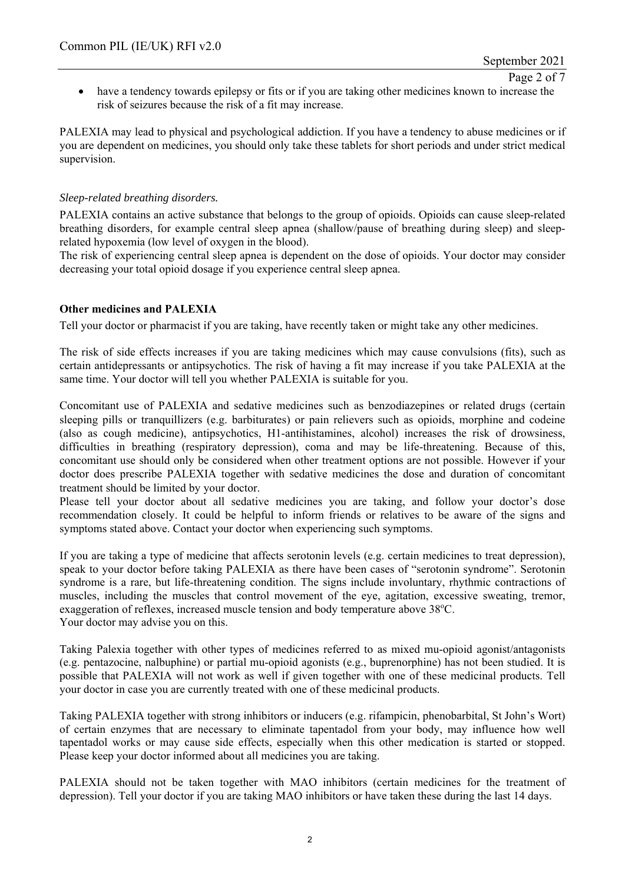Page 2 of 7

 have a tendency towards epilepsy or fits or if you are taking other medicines known to increase the risk of seizures because the risk of a fit may increase.

PALEXIA may lead to physical and psychological addiction. If you have a tendency to abuse medicines or if you are dependent on medicines, you should only take these tablets for short periods and under strict medical supervision.

## *Sleep-related breathing disorders.*

PALEXIA contains an active substance that belongs to the group of opioids. Opioids can cause sleep-related breathing disorders, for example central sleep apnea (shallow/pause of breathing during sleep) and sleeprelated hypoxemia (low level of oxygen in the blood).

The risk of experiencing central sleep apnea is dependent on the dose of opioids. Your doctor may consider decreasing your total opioid dosage if you experience central sleep apnea.

## **Other medicines and PALEXIA**

Tell your doctor or pharmacist if you are taking, have recently taken or might take any other medicines.

The risk of side effects increases if you are taking medicines which may cause convulsions (fits), such as certain antidepressants or antipsychotics. The risk of having a fit may increase if you take PALEXIA at the same time. Your doctor will tell you whether PALEXIA is suitable for you.

Concomitant use of PALEXIA and sedative medicines such as benzodiazepines or related drugs (certain sleeping pills or tranquillizers (e.g. barbiturates) or pain relievers such as opioids, morphine and codeine (also as cough medicine), antipsychotics, H1-antihistamines, alcohol) increases the risk of drowsiness, difficulties in breathing (respiratory depression), coma and may be life-threatening. Because of this, concomitant use should only be considered when other treatment options are not possible. However if your doctor does prescribe PALEXIA together with sedative medicines the dose and duration of concomitant treatment should be limited by your doctor.

Please tell your doctor about all sedative medicines you are taking, and follow your doctor's dose recommendation closely. It could be helpful to inform friends or relatives to be aware of the signs and symptoms stated above. Contact your doctor when experiencing such symptoms.

If you are taking a type of medicine that affects serotonin levels (e.g. certain medicines to treat depression), speak to your doctor before taking PALEXIA as there have been cases of "serotonin syndrome". Serotonin syndrome is a rare, but life-threatening condition. The signs include involuntary, rhythmic contractions of muscles, including the muscles that control movement of the eye, agitation, excessive sweating, tremor, exaggeration of reflexes, increased muscle tension and body temperature above 38°C. Your doctor may advise you on this.

Taking Palexia together with other types of medicines referred to as mixed mu-opioid agonist/antagonists (e.g. pentazocine, nalbuphine) or partial mu-opioid agonists (e.g., buprenorphine) has not been studied. It is possible that PALEXIA will not work as well if given together with one of these medicinal products. Tell your doctor in case you are currently treated with one of these medicinal products.

Taking PALEXIA together with strong inhibitors or inducers (e.g. rifampicin, phenobarbital, St John's Wort) of certain enzymes that are necessary to eliminate tapentadol from your body, may influence how well tapentadol works or may cause side effects, especially when this other medication is started or stopped. Please keep your doctor informed about all medicines you are taking.

PALEXIA should not be taken together with MAO inhibitors (certain medicines for the treatment of depression). Tell your doctor if you are taking MAO inhibitors or have taken these during the last 14 days.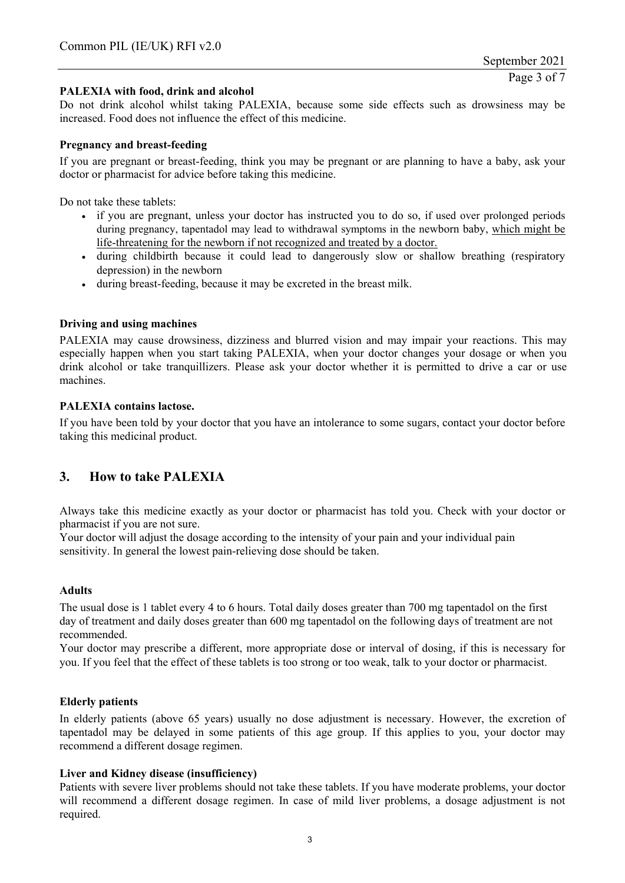## **PALEXIA with food, drink and alcohol**

Do not drink alcohol whilst taking PALEXIA, because some side effects such as drowsiness may be increased. Food does not influence the effect of this medicine.

## **Pregnancy and breast-feeding**

If you are pregnant or breast-feeding, think you may be pregnant or are planning to have a baby, ask your doctor or pharmacist for advice before taking this medicine.

Do not take these tablets:

- if you are pregnant, unless your doctor has instructed you to do so, if used over prolonged periods during pregnancy, tapentadol may lead to withdrawal symptoms in the newborn baby, which might be life-threatening for the newborn if not recognized and treated by a doctor.
- during childbirth because it could lead to dangerously slow or shallow breathing (respiratory depression) in the newborn
- during breast-feeding, because it may be excreted in the breast milk.

#### **Driving and using machines**

PALEXIA may cause drowsiness, dizziness and blurred vision and may impair your reactions. This may especially happen when you start taking PALEXIA, when your doctor changes your dosage or when you drink alcohol or take tranquillizers. Please ask your doctor whether it is permitted to drive a car or use machines.

#### **PALEXIA contains lactose.**

If you have been told by your doctor that you have an intolerance to some sugars, contact your doctor before taking this medicinal product.

# **3. How to take PALEXIA**

Always take this medicine exactly as your doctor or pharmacist has told you. Check with your doctor or pharmacist if you are not sure.

Your doctor will adjust the dosage according to the intensity of your pain and your individual pain sensitivity. In general the lowest pain-relieving dose should be taken.

## **Adults**

The usual dose is 1 tablet every 4 to 6 hours. Total daily doses greater than 700 mg tapentadol on the first day of treatment and daily doses greater than 600 mg tapentadol on the following days of treatment are not recommended.

Your doctor may prescribe a different, more appropriate dose or interval of dosing, if this is necessary for you. If you feel that the effect of these tablets is too strong or too weak, talk to your doctor or pharmacist.

#### **Elderly patients**

In elderly patients (above 65 years) usually no dose adjustment is necessary. However, the excretion of tapentadol may be delayed in some patients of this age group. If this applies to you, your doctor may recommend a different dosage regimen.

## **Liver and Kidney disease (insufficiency)**

Patients with severe liver problems should not take these tablets. If you have moderate problems, your doctor will recommend a different dosage regimen. In case of mild liver problems, a dosage adjustment is not required.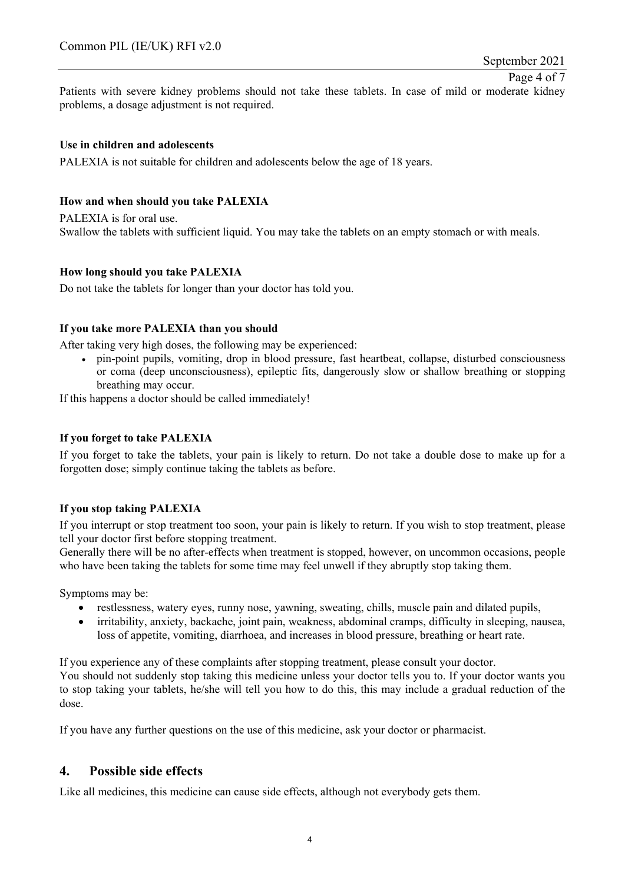Page 4 of 7

Patients with severe kidney problems should not take these tablets. In case of mild or moderate kidney problems, a dosage adjustment is not required.

## **Use in children and adolescents**

PALEXIA is not suitable for children and adolescents below the age of 18 years.

## **How and when should you take PALEXIA**

PALEXIA is for oral use. Swallow the tablets with sufficient liquid. You may take the tablets on an empty stomach or with meals.

## **How long should you take PALEXIA**

Do not take the tablets for longer than your doctor has told you.

## **If you take more PALEXIA than you should**

After taking very high doses, the following may be experienced:

 pin-point pupils, vomiting, drop in blood pressure, fast heartbeat, collapse, disturbed consciousness or coma (deep unconsciousness), epileptic fits, dangerously slow or shallow breathing or stopping breathing may occur.

If this happens a doctor should be called immediately!

## **If you forget to take PALEXIA**

If you forget to take the tablets, your pain is likely to return. Do not take a double dose to make up for a forgotten dose; simply continue taking the tablets as before.

## **If you stop taking PALEXIA**

If you interrupt or stop treatment too soon, your pain is likely to return. If you wish to stop treatment, please tell your doctor first before stopping treatment.

Generally there will be no after-effects when treatment is stopped, however, on uncommon occasions, people who have been taking the tablets for some time may feel unwell if they abruptly stop taking them.

Symptoms may be:

- restlessness, watery eyes, runny nose, yawning, sweating, chills, muscle pain and dilated pupils,
- irritability, anxiety, backache, joint pain, weakness, abdominal cramps, difficulty in sleeping, nausea, loss of appetite, vomiting, diarrhoea, and increases in blood pressure, breathing or heart rate.

If you experience any of these complaints after stopping treatment, please consult your doctor. You should not suddenly stop taking this medicine unless your doctor tells you to. If your doctor wants you to stop taking your tablets, he/she will tell you how to do this, this may include a gradual reduction of the dose.

If you have any further questions on the use of this medicine, ask your doctor or pharmacist.

## **4. Possible side effects**

Like all medicines, this medicine can cause side effects, although not everybody gets them.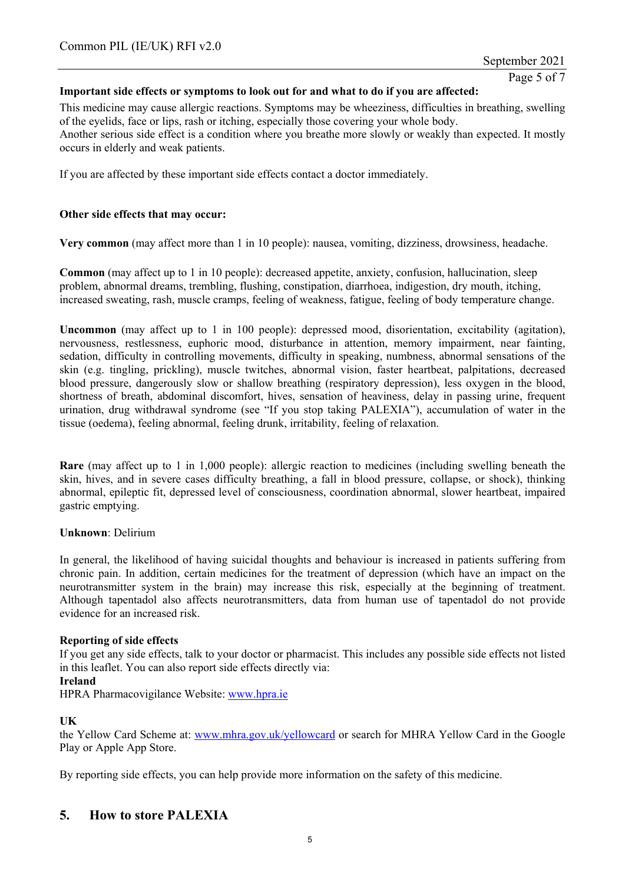## **Important side effects or symptoms to look out for and what to do if you are affected:**

This medicine may cause allergic reactions. Symptoms may be wheeziness, difficulties in breathing, swelling of the eyelids, face or lips, rash or itching, especially those covering your whole body. Another serious side effect is a condition where you breathe more slowly or weakly than expected. It mostly occurs in elderly and weak patients.

If you are affected by these important side effects contact a doctor immediately.

## **Other side effects that may occur:**

**Very common** (may affect more than 1 in 10 people): nausea, vomiting, dizziness, drowsiness, headache.

**Common** (may affect up to 1 in 10 people): decreased appetite, anxiety, confusion, hallucination, sleep problem, abnormal dreams, trembling, flushing, constipation, diarrhoea, indigestion, dry mouth, itching, increased sweating, rash, muscle cramps, feeling of weakness, fatigue, feeling of body temperature change.

**Uncommon** (may affect up to 1 in 100 people): depressed mood, disorientation, excitability (agitation), nervousness, restlessness, euphoric mood, disturbance in attention, memory impairment, near fainting, sedation, difficulty in controlling movements, difficulty in speaking, numbness, abnormal sensations of the skin (e.g. tingling, prickling), muscle twitches, abnormal vision, faster heartbeat, palpitations, decreased blood pressure, dangerously slow or shallow breathing (respiratory depression), less oxygen in the blood, shortness of breath, abdominal discomfort, hives, sensation of heaviness, delay in passing urine, frequent urination, drug withdrawal syndrome (see "If you stop taking PALEXIA"), accumulation of water in the tissue (oedema), feeling abnormal, feeling drunk, irritability, feeling of relaxation.

**Rare** (may affect up to 1 in 1,000 people): allergic reaction to medicines (including swelling beneath the skin, hives, and in severe cases difficulty breathing, a fall in blood pressure, collapse, or shock), thinking abnormal, epileptic fit, depressed level of consciousness, coordination abnormal, slower heartbeat, impaired gastric emptying.

## **Unknown**: Delirium

In general, the likelihood of having suicidal thoughts and behaviour is increased in patients suffering from chronic pain. In addition, certain medicines for the treatment of depression (which have an impact on the neurotransmitter system in the brain) may increase this risk, especially at the beginning of treatment. Although tapentadol also affects neurotransmitters, data from human use of tapentadol do not provide evidence for an increased risk.

## **Reporting of side effects**

If you get any side effects, talk to your doctor or pharmacist. This includes any possible side effects not listed in this leaflet. You can also report side effects directly via:

## **Ireland**

HPRA Pharmacovigilance Website: www.hpra.ie

## **UK**

the Yellow Card Scheme at: www.mhra.gov.uk/yellowcard or search for MHRA Yellow Card in the Google Play or Apple App Store.

By reporting side effects, you can help provide more information on the safety of this medicine.

# **5. How to store PALEXIA**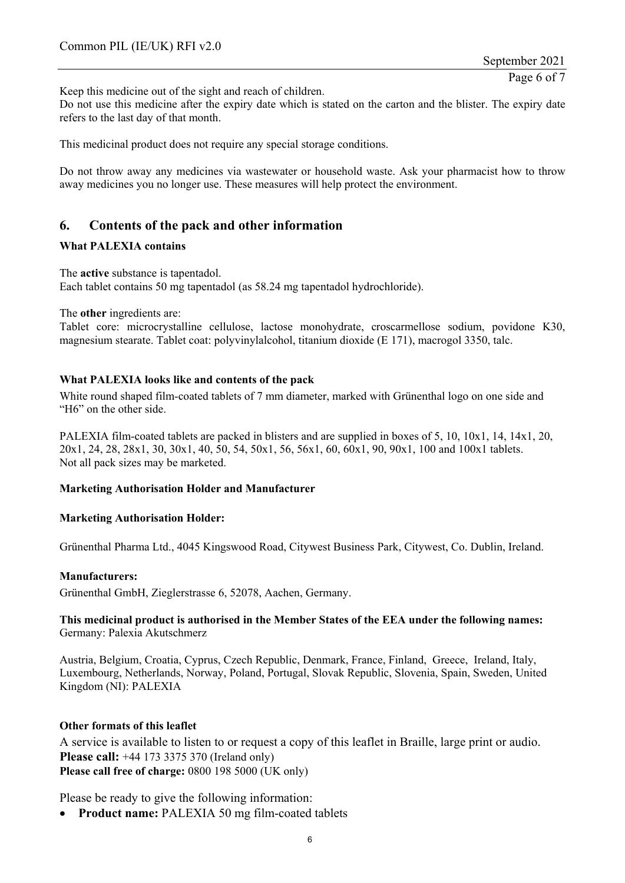Keep this medicine out of the sight and reach of children.

Do not use this medicine after the expiry date which is stated on the carton and the blister. The expiry date refers to the last day of that month.

This medicinal product does not require any special storage conditions.

Do not throw away any medicines via wastewater or household waste. Ask your pharmacist how to throw away medicines you no longer use. These measures will help protect the environment.

# **6. Contents of the pack and other information**

## **What PALEXIA contains**

The **active** substance is tapentadol. Each tablet contains 50 mg tapentadol (as 58.24 mg tapentadol hydrochloride).

The **other** ingredients are:

Tablet core: microcrystalline cellulose, lactose monohydrate, croscarmellose sodium, povidone K30, magnesium stearate. Tablet coat: polyvinylalcohol, titanium dioxide (E 171), macrogol 3350, talc.

## **What PALEXIA looks like and contents of the pack**

White round shaped film-coated tablets of 7 mm diameter, marked with Grünenthal logo on one side and "H6" on the other side.

PALEXIA film-coated tablets are packed in blisters and are supplied in boxes of 5, 10, 10x1, 14, 14x1, 20, 20x1, 24, 28, 28x1, 30, 30x1, 40, 50, 54, 50x1, 56, 56x1, 60, 60x1, 90, 90x1, 100 and 100x1 tablets. Not all pack sizes may be marketed.

## **Marketing Authorisation Holder and Manufacturer**

## **Marketing Authorisation Holder:**

Grünenthal Pharma Ltd., 4045 Kingswood Road, Citywest Business Park, Citywest, Co. Dublin, Ireland.

#### **Manufacturers:**

Grünenthal GmbH, Zieglerstrasse 6, 52078, Aachen, Germany.

## **This medicinal product is authorised in the Member States of the EEA under the following names:**  Germany: Palexia Akutschmerz

Austria, Belgium, Croatia, Cyprus, Czech Republic, Denmark, France, Finland, Greece, Ireland, Italy, Luxembourg, Netherlands, Norway, Poland, Portugal, Slovak Republic, Slovenia, Spain, Sweden, United Kingdom (NI): PALEXIA

#### **Other formats of this leaflet**

A service is available to listen to or request a copy of this leaflet in Braille, large print or audio. **Please call:** +44 173 3375 370 (Ireland only) **Please call free of charge:** 0800 198 5000 (UK only)

Please be ready to give the following information:

• Product name: PALEXIA 50 mg film-coated tablets